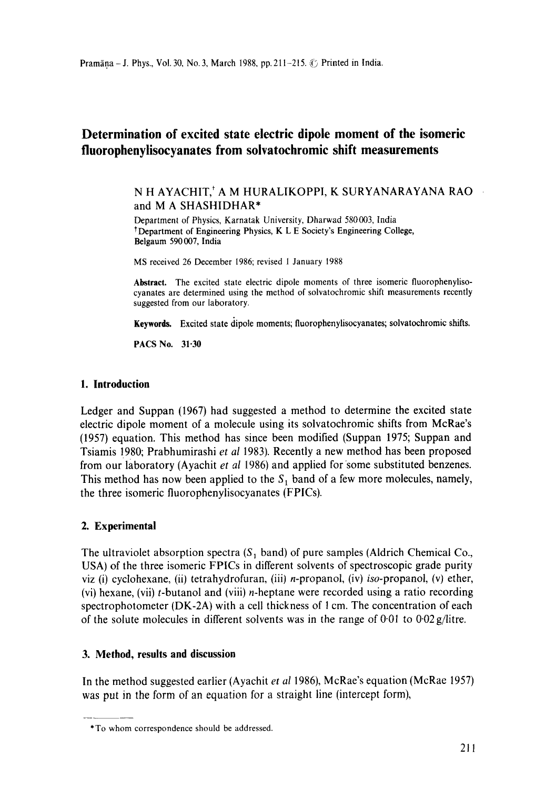# **Determination of excited state electric dipole moment of the isomeric fluoropheuylisocyanates from soivatochromic shift measurements**

## N H AYACHIT,\* A M HURALIKOPPI, K SURYANARAYANA RAO and M A SHASHIDHAR\*

Department of Physics, Karnatak University, Dharwad 580003, India tDepartment of Engineering Physics, K L E Society's Engineering College, Belgaum 590 007, India

MS received 26 December 1986; revised 1 January 1988

**Abstract.** The excited state electric dipole moments of three isomeric fluorophenylisocyanates are determined using the method of solvatochromic shift measurements recently suggested from our laboratory.

**Keywords. Excited state** dipole moments; fluorophenylisocyanates; solvatochromic shifts.

**PACS** No. 31-30

#### **1. Introduction**

Ledger and Suppan (1967) had suggested a method to determine the excited state electric dipole moment of a molecule using its solvatochromic shifts from McRae's (1957) equation. This method has since been modified (Suppan 1975; Suppan and Tsiamis !980; Prabhumirashi *et al* 1983). Recently a new method has been proposed from our laboratory (Ayachit *et al 1986)* and applied for some substituted benzenes. This method has now been applied to the  $S_1$  band of a few more molecules, namely, the three isomeric fluorophenylisocyanates (FPICs).

# **2. Experimental**

The ultraviolet absorption spectra  $(S_1 \text{ band})$  of pure samples (Aldrich Chemical Co., USA) of the three isomeric FPICs in different solvents of spectroscopic grade purity viz (i) cyclohexane, (ii) tetrahydrofuran, (iii) n-propanol, (iv) *iso-propanol,* (v) ether, (vi) hexane, (vii)  $t$ -butanol and (viii) *n*-heptane were recorded using a ratio recording spectrophotometer (DK-2A) with a cell thickness of 1 cm. The concentration of each of the solute molecules in different solvents was in the range of 0.01 to 0-02 g/litre.

# **3. Method, results and discussion**

In the method suggested earlier (Ayachit *et al* 1986), McRae's equation (McRae 1957) was put in the form of an equation for a straight line (intercept form),

<sup>\*</sup>To whom correspondence should be addressed.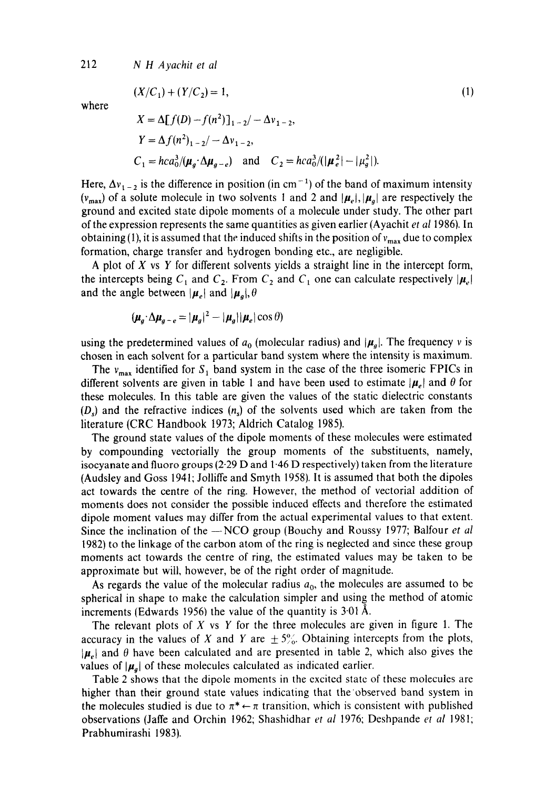212 *N H Ayachit et al* 

$$
(X/C_1) + (Y/C_2) = 1,
$$
 (1)

where

$$
X = \Delta[f(D) - f(n^2)]_{1-2} / -\Delta v_{1-2},
$$
  
\n
$$
Y = \Delta f(n^2)_{1-2} / -\Delta v_{1-2},
$$
  
\n
$$
C_1 = hca_0^3 / (\mu_g \cdot \Delta \mu_{g-e}) \text{ and } C_2 = hca_0^3 / (|\mu_e^2| - |\mu_g^2|).
$$

Here,  $\Delta v_{1-2}$  is the difference in position (in cm<sup>-1</sup>) of the band of maximum intensity  $(v_{max})$  of a solute molecule in two solvents 1 and 2 and  $|\mu_e|, |\mu_a|$  are respectively the ground and excited state dipole moments of a molecule under study. The other part of the expression represents the same quantities as given earlier (Ayachit *et al* 1986). In obtaining (1), it is assumed that the induced shifts in the position of  $v_{\text{max}}$  due to complex formation, charge transfer and hydrogen bonding etc., are negligible.

A plot of  $X$  vs  $Y$  for different solvents yields a straight line in the intercept form, the intercepts being  $C_1$  and  $C_2$ . From  $C_2$  and  $C_1$  one can calculate respectively  $|\mu_e|$ and the angle between  $|\mu_e|$  and  $|\mu_g|, \theta$ 

$$
(\boldsymbol{\mu}_g \cdot \Delta \boldsymbol{\mu}_{g-e} = |\boldsymbol{\mu}_g|^2 - |\boldsymbol{\mu}_g||\boldsymbol{\mu}_e|\cos\theta)
$$

using the predetermined values of  $a_0$  (molecular radius) and  $|\mu_g|$ . The frequency v is chosen in each solvent for a particular band system where the intensity is maximum.

The  $v_{\text{max}}$  identified for  $S_1$  band system in the case of the three isomeric FPICs in different solvents are given in table 1 and have been used to estimate  $|\mu_e|$  and  $\theta$  for these molecules. In this table are given the values of the static dielectric constants  $(D<sub>s</sub>)$  and the refractive indices  $(n<sub>s</sub>)$  of the solvents used which are taken from the literature (CRC Handbook 1973; Aldrich Catalog 1985).

The ground state values of the dipole moments of these molecules were estimated by compounding vectorially the group moments of the substituents, namely, isocyanate and fluoro groups (2-29 D and 1.46 D respectively) taken from the literature (Audsley and Goss 1941; Jolliffe and Smyth 1958). It is assumed that both the dipoles act towards the centre of the ring. However, the method of vectorial addition of moments does not consider the possible induced effects and therefore the estimated dipole moment values may differ from the actual experimental values to that extent. Since the inclination of the --NCO group (Bouchy and Roussy 1977; Balfour *et al* 1982) to the linkage of the carbon atom of the ring is neglected and since these group moments act towards the centre of ring, the estimated values may be taken to be approximate but will, however, be of the right order of magnitude.

As regards the value of the molecular radius  $a_0$ , the molecules are assumed to be spherical in shape to make the calculation simpler and using the method of atomic increments (Edwards 1956) the value of the quantity is  $3.01~\text{\AA}$ .

The relevant plots of X vs Y for the three molecules are given in figure 1. The accuracy in the values of X and Y are  $\pm 5\%$ . Obtaining intercepts from the plots,  $|\mu_e|$  and  $\theta$  have been calculated and are presented in table 2, which also gives the values of  $|\mu_a|$  of these molecules calculated as indicated earlier.

Table 2 shows that the dipole moments in the excited state of these molecules are higher than their ground state values indicating that the observed band system in the molecules studied is due to  $\pi^* \leftarrow \pi$  transition, which is consistent with published observations (Jaffe and Orchin 1962; Shashidhar *et al* 1976; Deshpande *et al* 1981; Prabhumirashi 1983).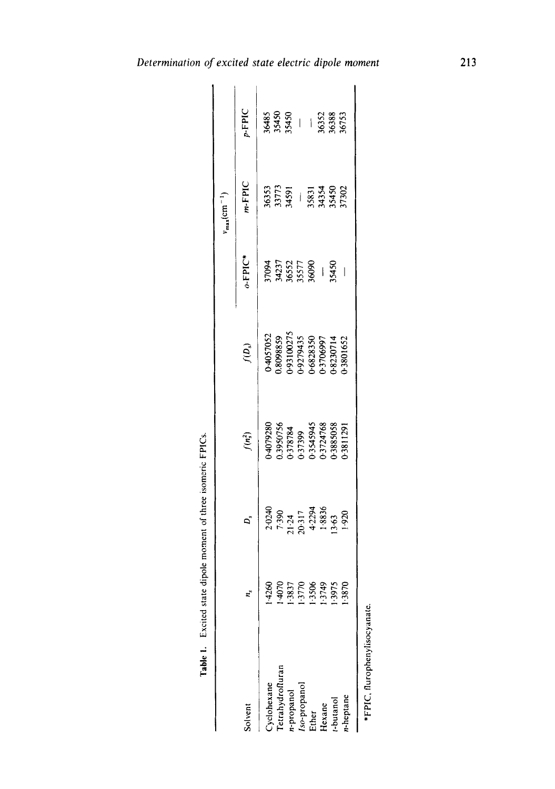|                                                                                  |                                                           |                                                                              |                                                                          |                                                                                           |                                                     | $v_{\text{max}}(\text{cm}^{-1})$ |                                           |
|----------------------------------------------------------------------------------|-----------------------------------------------------------|------------------------------------------------------------------------------|--------------------------------------------------------------------------|-------------------------------------------------------------------------------------------|-----------------------------------------------------|----------------------------------|-------------------------------------------|
| olvent                                                                           |                                                           | D,                                                                           | $f(n_s^2)$                                                               | $f(D_s)$                                                                                  | $o$ -FPIC*                                          | $m$ -FPIC                        | $p$ -FPIC                                 |
|                                                                                  |                                                           |                                                                              |                                                                          |                                                                                           |                                                     |                                  |                                           |
|                                                                                  |                                                           |                                                                              |                                                                          |                                                                                           |                                                     |                                  |                                           |
| `yclohexane<br>Tetrahydrofluran<br> -propanol<br>!so-propanol<br>Ether<br>Hexane | 14260<br>14070<br>13837<br>1376<br>13749<br>1375<br>13875 | $7.390$<br>$7.390$<br>$21.24$<br>$4.2294$<br>$4.3836$<br>$1.8836$<br>$1.920$ | 04079280<br>0.3950756<br>0.378784<br>0.3545945<br>0.3724768<br>0.3885058 | 0-4057052<br>0.8098859<br>0.93100275<br>0.9279435<br>0.68230714<br>0.8230714<br>0.8230714 | 97094<br>34237<br>365577<br>35577<br>35450<br>35450 |                                  | 36485<br>35450<br>35450<br>36388<br>36388 |
|                                                                                  |                                                           |                                                                              |                                                                          |                                                                                           |                                                     |                                  |                                           |
|                                                                                  |                                                           |                                                                              |                                                                          |                                                                                           |                                                     |                                  |                                           |
|                                                                                  |                                                           |                                                                              |                                                                          |                                                                                           |                                                     |                                  |                                           |
|                                                                                  |                                                           |                                                                              |                                                                          |                                                                                           |                                                     |                                  |                                           |
| heptane                                                                          |                                                           |                                                                              |                                                                          |                                                                                           |                                                     |                                  |                                           |
|                                                                                  |                                                           |                                                                              |                                                                          |                                                                                           |                                                     |                                  |                                           |

| $\frac{1}{2}$<br>.<br>.<br>. |
|------------------------------|
| י<br>נ<br>i                  |
|                              |
| -------------                |
| واحدته                       |
| -----                        |
| $\frac{1}{2}$                |
| ä                            |

\*FPIC, fl urophenylisocyanate. \*FPIC, flurophenylisocyanate.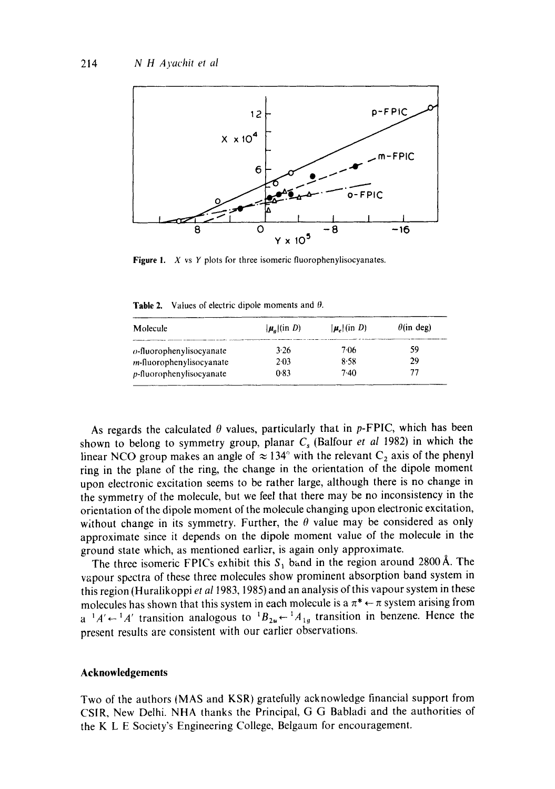

Figure 1.  $X$  vs  $Y$  plots for three isomeric fluorophenylisocyanates.

**Table 2.** Values of electric dipole moments and  $\theta$ .

| Molecule                         | $ \mu_{\alpha} $ (in D) | $ \boldsymbol{\mu}_c $ (in D) | $\theta$ (in deg) |
|----------------------------------|-------------------------|-------------------------------|-------------------|
| $o$ -fluorophenylisocyanate      | 3.26                    | 7.06                          | 59                |
| <i>m</i> -fluorophenylisocyanate | 2.03                    | 8.58                          | 29                |
| $p$ -fluorophenylisocyanate      | 0.83                    | 7.40                          | 77                |

As regards the calculated  $\theta$  values, particularly that in p-FPIC, which has been shown to belong to symmetry group, planar  $C_s$  (Balfour *et al* 1982) in which the linear NCO group makes an angle of  $\approx 134^\circ$  with the relevant C<sub>2</sub> axis of the phenyl ring in the plane of the ring, the change in the orientation of the dipole moment upon electronic excitation seems to be rather large, although there is no change in the symmetry of the molecule, but we feel that there may be no inconsistency in the orientation of the dipole moment of the molecule changing upon electronic excitation, without change in its symmetry. Further, the  $\theta$  value may be considered as only approximate since it depends on the dipole moment value of the molecule in the ground state which, as mentioned earlier, is again only approximate.

The three isomeric FPICs exhibit this  $S_1$  band in the region around 2800 Å. The vapour spectra of these three molecules show prominent absorption band system in this region (Huralikoppi *et al* 1983, 1985) and an analysis of this vapour system in these molecules has shown that this system in each molecule is a  $\pi^* \leftarrow \pi$  system arising from  $a^{-1}A' \leftarrow {}^1A'$  transition analogous to  ${}^1B_{2\mu} \leftarrow {}^1A_{1a}$  transition in benzene. Hence the present results are consistent with our earlier observations.

#### **Acknowledgements**

Two of the authors (MAS and KSR) gratefully acknowledge financial support from CSIR, New Delhi. NHA thanks the Principal, G G Babladi and the authorities of the K L E Society's Engineering College, Belgaum for encouragement.